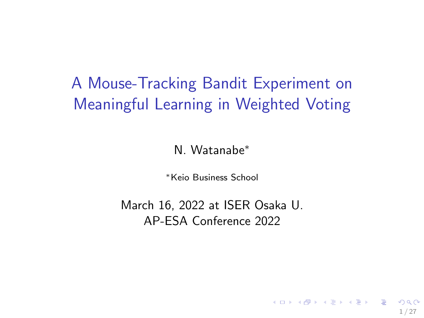# <span id="page-0-0"></span>A Mouse-Tracking Bandit Experiment on Meaningful Learning in Weighted Voting

N. Watanabe<sup>∗</sup>

<sup>∗</sup>Keio Business School

March 16, 2022 at ISER Osaka U. AP-ESA Conference 2022

1 / 27

K ロ X K @ X K 경 X X 경 X X 경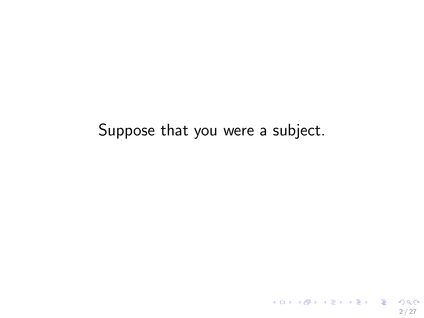#### Suppose that you were a subject.

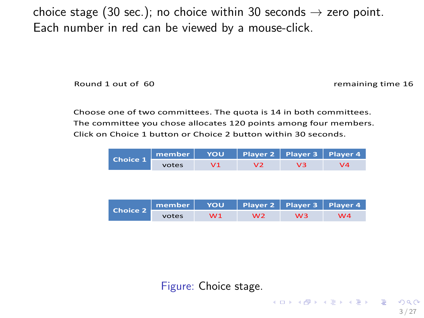choice stage (30 sec.); no choice within 30 seconds  $\rightarrow$  zero point. Each number in red can be viewed by a mouse-click.

!"#\$%&'&"#(&")&&\*+&&&&&&&&&&&&&&&&&&&&&&&&&&&&&&&&&&&&&&&&&&&&&&&&&&&&&&&&&&&&&&&&&&&&&&&&&&,-./0\$0\$1&(0.-&'\*

Choose one of two committees. The quota is 14 in both committees. The committee you chose allocates 120 points among four members. Click on Choice 1 button or Choice 2 button within 30 seconds.

| Choice 1 m | member   YOU   Player 2   Player 3   Player 4 |    |    |    |            |
|------------|-----------------------------------------------|----|----|----|------------|
|            | votes                                         | V1 | V2 | vз | $\sqrt{4}$ |

| Choice $2 -$ | member   YOU   Player 2   Player 3   Player 4 |                |    |    |    |
|--------------|-----------------------------------------------|----------------|----|----|----|
|              | votes                                         | W <sub>1</sub> | W2 | wз | W4 |

Figure: Choice stage.

K ロ ▶ K @ ▶ K 글 ▶ K 글 ▶ │ 글 │ ⊙ Q ⊙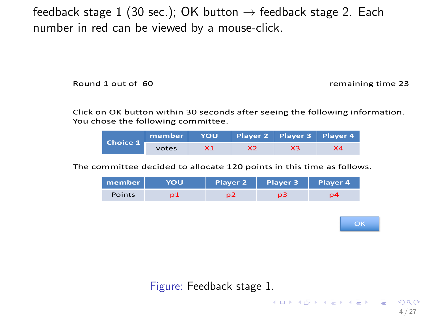feedback stage 1 (30 sec.); OK button  $\rightarrow$  feedback stage 2. Each number in red can be viewed by a mouse-click.

Round 1 out of 60 and 1 and 1 and 1 and 1 and 1 and 1 and 1 and 1 and 1 and 1 and 1 and 1 and 1 and 1 and 1 and 1 and 1 and 1 and 1 and 1 and 1 and 1 and 1 and 1 and 1 and 1 and 1 and 1 and 1 and 1 and 1 and 1 and 1 and 1

Click on OK button within 30 seconds after seeing the following information. You chose the following committee.

|                                        | $m$ ember $ $ | <b>YOU</b> | Player 2   Player 3   Player 4 |    |    |
|----------------------------------------|---------------|------------|--------------------------------|----|----|
| $\blacksquare$ Choice 1 $\blacksquare$ | votes         | X1         | х2                             | xз | X4 |

The committee decided to allocate 120 points in this time as follows.

| member        | <b>YOU</b> | Player 2 | Player 3       | Player 4 |
|---------------|------------|----------|----------------|----------|
| <b>Points</b> |            | n2       | n <sub>3</sub> | p4       |



K ロ ▶ K @ ▶ K 글 ▶ K 글 ▶ │ 글 │ ⊙ Q ⊙

4 / 27

Figure: Feedback stage 1.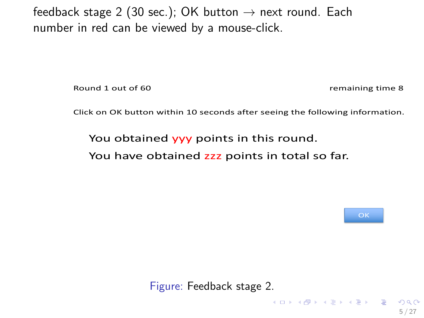feedback stage 2 (30 sec.); OK button  $\rightarrow$  next round. Each number in red can be viewed by a mouse-click.

Round 1 out of 60 **Sound 1 out of 60** and 1 out of 60 and 1 out of 60 and 1 out of 60 and 1 out of 60 and 1 out of 60 and 1 out of 60 and 1 out of 60 and 1 out of  $\frac{1}{2}$  and 1 out of 60 and 1 out of 60 and 1 out of 60 a

Click on OK button within 10 seconds after seeing the following information.

You obtained **yyy** points in this round.

You have obtained zzz points in total so far.



K ロ ▶ K @ ▶ K 글 ▶ K 글 ▶ │ 글 │ ⊙ Q ⊙

5 / 27

Figure: Feedback stage 2.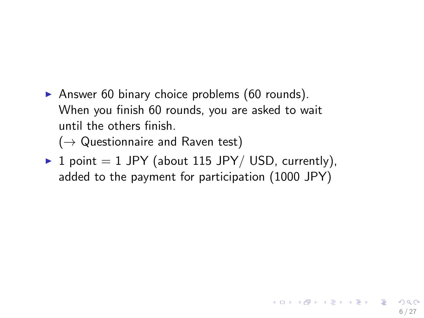Answer 60 binary choice problems  $(60 \text{ rounds})$ . When you finish 60 rounds, you are asked to wait until the others finish.

 $(\rightarrow$  Questionnaire and Raven test)

 $\triangleright$  1 point = 1 JPY (about 115 JPY/ USD, currently), added to the payment for participation (1000 JPY)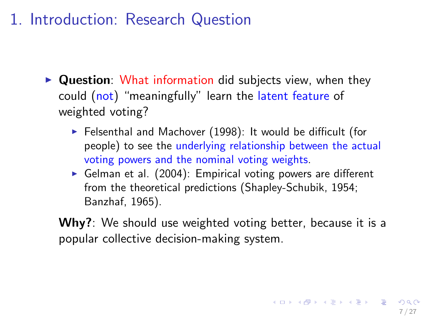## 1. Introduction: Research Question

- $\triangleright$  Question: What information did subjects view, when they could (not) "meaningfully" learn the latent feature of weighted voting?
	- $\blacktriangleright$  Felsenthal and Machover (1998): It would be difficult (for people) to see the underlying relationship between the actual voting powers and the nominal voting weights.
	- Gelman et al. (2004): Empirical voting powers are different from the theoretical predictions (Shapley-Schubik, 1954; Banzhaf, 1965).
	- Why?: We should use weighted voting better, because it is a popular collective decision-making system.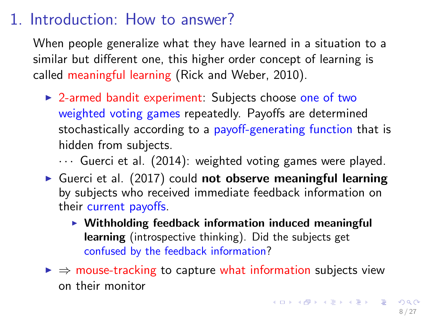### 1. Introduction: How to answer?

When people generalize what they have learned in a situation to a similar but different one, this higher order concept of learning is called meaningful learning (Rick and Weber, 2010).

 $\triangleright$  2-armed bandit experiment: Subjects choose one of two weighted voting games repeatedly. Payoffs are determined stochastically according to a payoff-generating function that is hidden from subjects.

 $\cdots$  Guerci et al. (2014): weighted voting games were played.

- Guerci et al.  $(2017)$  could not observe meaningful learning by subjects who received immediate feedback information on their current payoffs.
	- $\triangleright$  Withholding feedback information induced meaningful learning (introspective thinking). Did the subjects get confused by the feedback information?
- $\triangleright \Rightarrow$  mouse-tracking to capture what information subjects view on their monitor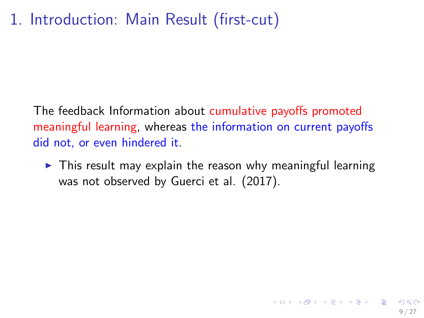# <span id="page-8-0"></span>1. Introduction: Main Result (first-cut)

The feedback Information about cumulative payoffs promoted meaningful learning, whereas the information on current payoffs did not, or even hindered it.

 $\triangleright$  This result may explain the reason why meaningful learning was not observed by Guerci et al. (2017).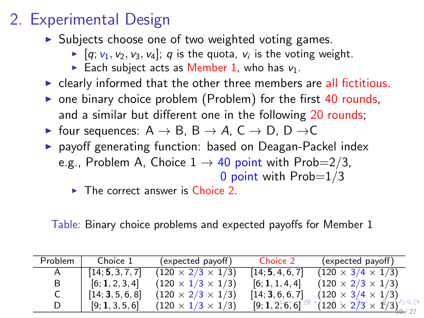# <span id="page-9-0"></span>2. Experimental Design

- $\triangleright$  Subjects choose one of two weighted voting games.
	- $\blacktriangleright$  [q;  $v_1, v_2, v_3, v_4$ ]; q is the quota,  $v_i$  is the voting weight.
	- Each subject acts as Member 1, who has  $v_1$ .
- $\triangleright$  clearly informed that the other three members are all fictitious.
- $\triangleright$  one binary choice problem (Problem) for the first 40 rounds, and a similar but different one in the following 20 rounds;
- $\triangleright$  four sequences: A  $\rightarrow$  B, B  $\rightarrow$  A, C  $\rightarrow$  D, D  $\rightarrow$  C
- **P** payoff generating function: based on Deagan-Packel index e.g., Problem A, Choice  $1 \rightarrow 40$  point with Prob=2/3, 0 point with  $Prob=1/3$ 
	- $\triangleright$  The correct answer is Choice 2.

Table: Binary choice problems and expected payoffs for Member 1

| Problem | Choice 1         | (expected payoff)             | Choice 2         | (expected payoff)             |
|---------|------------------|-------------------------------|------------------|-------------------------------|
|         | [14; 5, 3, 7, 7] | $(120 \times 2/3 \times 1/3)$ | [14; 5, 4, 6, 7] | $(120 \times 3/4 \times 1/3)$ |
| B       | [6; 1, 2, 3, 4]  | $(120 \times 1/3 \times 1/3)$ | [6; 1, 1, 4, 4]  | $(120 \times 2/3 \times 1/3)$ |
|         | [14; 3, 5, 6, 8] | $(120 \times 2/3 \times 1/3)$ | [14; 3, 6, 6, 7] | $(120 \times 3/4 \times 1/3)$ |
|         | [9; 1, 3, 5, 6]  | $(120 \times 1/3 \times 1/3)$ | [9; 1, 2, 6, 6]  | $(120 \times 273 \times 173)$ |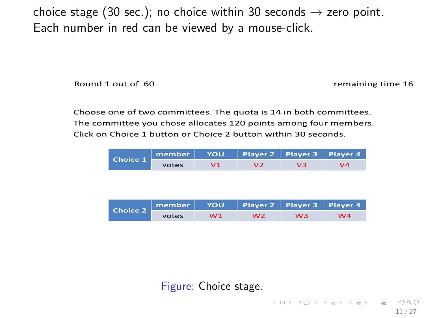<span id="page-10-0"></span>choice stage (30 sec.); no choice within 30 seconds  $\rightarrow$  zero point. Each number in red can be viewed by a mouse-click.

!"#\$%&'&"#(&")&&\*+&&&&&&&&&&&&&&&&&&&&&&&&&&&&&&&&&&&&&&&&&&&&&&&&&&&&&&&&&&&&&&&&&&&&&&&&&&,-./0\$0\$1&(0.-&'\*

11 / 27

**KORK REPARE PROGRAM** 

Choose one of two committees. The quota is 14 in both committees. The committee you chose allocates 120 points among four members. Click on Choice 1 button or Choice 2 button within 30 seconds.

| Choice 1 m | member   YOU   Player 2   Player 3   Player 4 |    |    |    |            |
|------------|-----------------------------------------------|----|----|----|------------|
|            | votes                                         | V1 | V2 | vз | $\sqrt{4}$ |

| Choice $2 -$ | member   YOU   Player 2   Player 3   Player 4 |                |    |    |    |
|--------------|-----------------------------------------------|----------------|----|----|----|
|              | votes                                         | W <sub>1</sub> | W2 | wз | W4 |

Figure: Choice stage.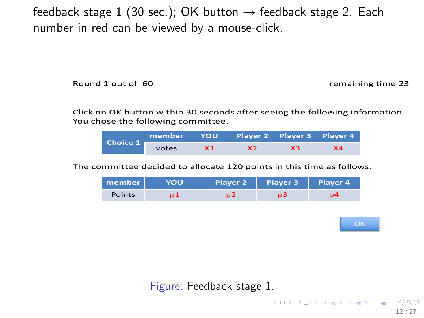feedback stage 1 (30 sec.); OK button  $\rightarrow$  feedback stage 2. Each number in red can be viewed by a mouse-click.

Round 1 out of 60 and 1 and 1 and 1 and 1 and 1 and 1 and 1 and 1 and 1 and 1 and 1 and 1 and 1 and 1 and 1 and 1 and 1 and 1 and 1 and 1 and 1 and 1 and 1 and 1 and 1 and 1 and 1 and 1 and 1 and 1 and 1 and 1 and 1 and 1

Click on OK button within 30 seconds after seeing the following information. You chose the following committee.

|                                        | member   YOU   Player 2   Player 3   Player 4 |    |    |    |
|----------------------------------------|-----------------------------------------------|----|----|----|
| $\blacksquare$ Choice 1 $\blacksquare$ | votes                                         | X2 | XЗ | X4 |

The committee decided to allocate 120 points in this time as follows.

| member        | <b>YOU</b> | Player 2 | Player 3       | Player 4 |
|---------------|------------|----------|----------------|----------|
| <b>Points</b> |            | n2       | n <sub>3</sub> | p4       |



K ロ ▶ K @ ▶ K 글 ▶ K 글 ▶ │ 글 │ ⊙ Q ⊙

12 / 27

Figure: Feedback stage 1.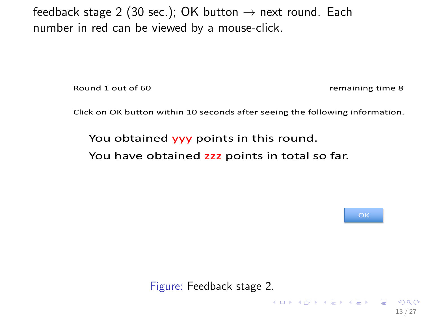feedback stage 2 (30 sec.); OK button  $\rightarrow$  next round. Each number in red can be viewed by a mouse-click.

Round 1 out of 60 **Sound 1 out of 60** and 1 out of 60 and 1 out of 60 and 1 out of 60 and 1 out of 60 and 1 out of 60 and 1 out of 60 and 1 out of 60 and 1 out of  $\frac{1}{2}$  and 1 out of 60 and 1 out of 60 and 1 out of 60 a

Click on OK button within 10 seconds after seeing the following information.

You obtained **yyy** points in this round.

You have obtained zzz points in total so far.



**KORK REPARE PROGRAM** 

13 / 27

Figure: Feedback stage 2.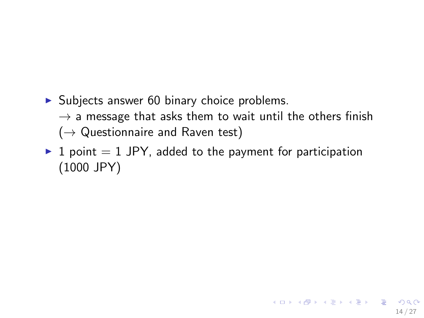- $\triangleright$  Subjects answer 60 binary choice problems.
	- $\rightarrow$  a message that asks them to wait until the others finish  $(\rightarrow$  Questionnaire and Raven test)
- $\blacktriangleright$  1 point  $=$  1 JPY, added to the payment for participation (1000 JPY)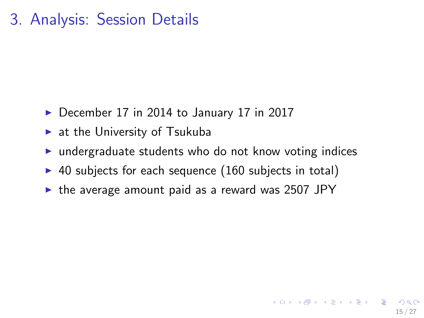### <span id="page-14-0"></span>3. Analysis: Session Details

- $\triangleright$  December 17 in 2014 to January 17 in 2017
- $\blacktriangleright$  at the University of Tsukuba
- $\triangleright$  undergraduate students who do not know voting indices
- $\triangleright$  40 subjects for each sequence (160 subjects in total)
- $\triangleright$  the average amount paid as a reward was 2507 JPY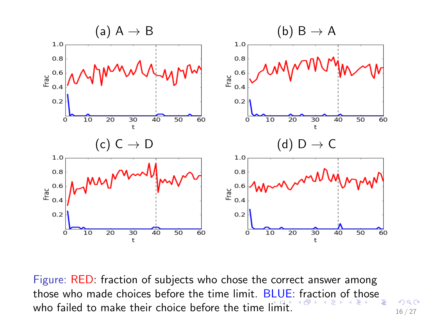<span id="page-15-0"></span>

Figure: RED: fraction of subjects who chose the correct answer among those who made choices before the time limit. BLUE[: f](#page-14-0)[ra](#page-15-0)[ct](#page-16-0)[io](#page-0-0)[n o](#page-27-0)[f t](#page-0-0)[ho](#page-27-0)[se](#page-0-0) who failed to make their choice before the time [lim](#page-14-0)i[t.](#page-16-0)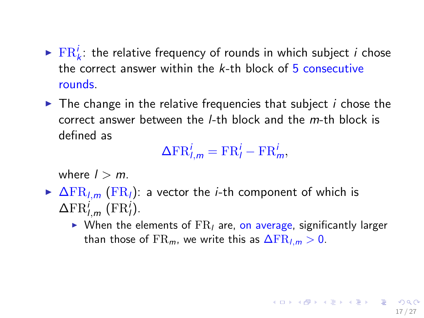- <span id="page-16-0"></span> $\blacktriangleright$   $\text{FR}_k^i$ : the relative frequency of rounds in which subject *i* chose the correct answer within the  $k$ -th block of  $\frac{1}{2}$  consecutive rounds.
- $\blacktriangleright$  The change in the relative frequencies that subject *i* chose the correct answer between the l-th block and the m-th block is defined as

$$
\Delta \mathrm{FR}_{l,m}^i = \mathrm{FR}_{l}^i - \mathrm{FR}_{m}^i,
$$

where  $l > m$ .

- $\triangleright$   $\Delta$ FR<sub>l,m</sub> (FR<sub>l</sub>): a vector the *i*-th component of which is  $\Delta \text{FR}^i_{l,m}$  (FR<sup>i</sup><sub>l</sub>).
	- $\triangleright$  When the elements of  $FR$  are, on average, significantly larger than those of  $\text{FR}_m$ , we write this as  $\Delta \text{FR}_{lm} > 0$ .

17 / 27

メロトメ 倒す メミトメミト ニミーの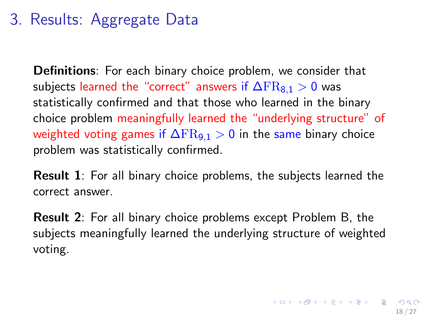## <span id="page-17-0"></span>3. Results: Aggregate Data

Definitions: For each binary choice problem, we consider that subjects learned the "correct" answers if  $\Delta FR_{8,1} > 0$  was statistically confirmed and that those who learned in the binary choice problem meaningfully learned the "underlying structure" of weighted voting games if  $\Delta FR_{9,1} > 0$  in the same binary choice problem was statistically confirmed.

Result 1: For all binary choice problems, the subjects learned the correct answer.

Result 2: For all binary choice problems except Problem B, the subjects meaningfully learned the underlying structure of weighted voting.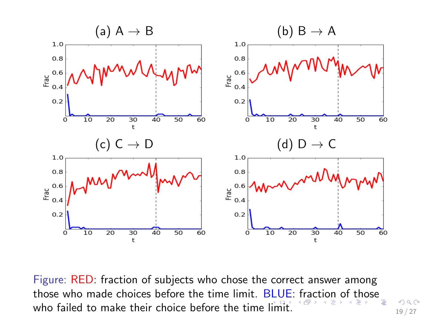<span id="page-18-0"></span>

Figure: RED: fraction of subjects who chose the correct answer among those who made choices before the time limit. BLUE[: f](#page-17-0)[ra](#page-18-0)[ct](#page-19-0)[io](#page-0-0)[n o](#page-27-0)[f t](#page-0-0)[ho](#page-27-0)[se](#page-0-0) who failed to make their choice before the time [lim](#page-17-0)i[t.](#page-19-0)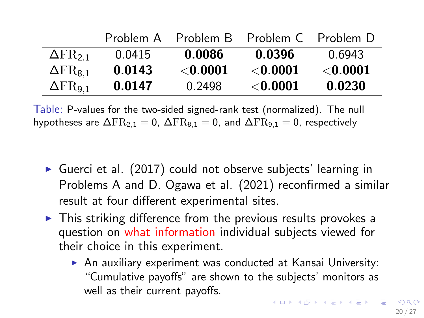<span id="page-19-0"></span>

|                            | Problem A |                 | Problem B Problem C Problem D |            |
|----------------------------|-----------|-----------------|-------------------------------|------------|
| $\Delta$ FR <sub>2.1</sub> | 0.0415    | 0.0086          | 0.0396                        | 0.6943     |
| $\Delta$ FR <sub>8.1</sub> | 0.0143    | $<$ 0.0001 $\,$ | $<$ 0.0001                    | $<$ 0.0001 |
| $\Delta$ FR <sub>9.1</sub> | 0.0147    | 0.2498          | ${<}0.0001$                   | 0.0230     |

Table: P-values for the two-sided signed-rank test (normalized). The null hypotheses are  $\Delta FR_{2,1} = 0$ ,  $\Delta FR_{8,1} = 0$ , and  $\Delta FR_{9,1} = 0$ , respectively

- Guerci et al. (2017) could not observe subjects' learning in Problems A and D. Ogawa et al. (2021) reconfirmed a similar result at four different experimental sites.
- $\triangleright$  This striking difference from the previous results provokes a question on what information individual subjects viewed for their choice in this experiment.
	- $\triangleright$  An auxiliary experiment was conducted at Kansai University: "Cumulative payoffs" are shown to the subjects' monitors as well as their current payoffs.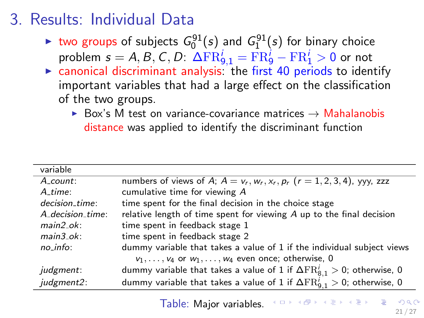## 3. Results: Individual Data

- ighthropology two groups of subjects  $G_0^{91}(s)$  and  $G_1^{91}(s)$  for binary choice problem  $s = A, B, C, D$ :  $\Delta \mathrm{FR}^i_{9,1} = \mathrm{FR}^i_{9} - \mathrm{FR}^i_{1} > 0$  or not
- $\triangleright$  canonical discriminant analysis: the first 40 periods to identify important variables that had a large effect on the classification of the two groups.
	- $▶$  Box's M test on variance-covariance matrices  $→$  Mahalanobis distance was applied to identify the discriminant function

| variable                 |                                                                                           |
|--------------------------|-------------------------------------------------------------------------------------------|
| $A_{\text{-}count:}$     | numbers of views of A; $A = v_r$ , $w_r$ , $x_r$ , $p_r$ ( $r = 1, 2, 3, 4$ ), yyy, zzz   |
| A time:                  | cumulative time for viewing A                                                             |
| decision_time:           | time spent for the final decision in the choice stage                                     |
| A_decision_time:         | relative length of time spent for viewing $A$ up to the final decision                    |
| $main2$ ok:              | time spent in feedback stage 1                                                            |
| $main3$ <sub>-Ok</sub> : | time spent in feedback stage 2                                                            |
| $no$ -info:              | dummy variable that takes a value of 1 if the individual subject views                    |
|                          | $v_1, \ldots, v_4$ or $w_1, \ldots, w_4$ even once; otherwise, 0                          |
| <i>judgment:</i>         | dummy variable that takes a value of 1 if $\Delta \text{FR}^{i}_{8.1} > 0$ ; otherwise, 0 |
| judgment2:               | dummy variable that takes a value of 1 if $\Delta \text{FR}_{9.1}^i > 0$ ; otherwise, 0   |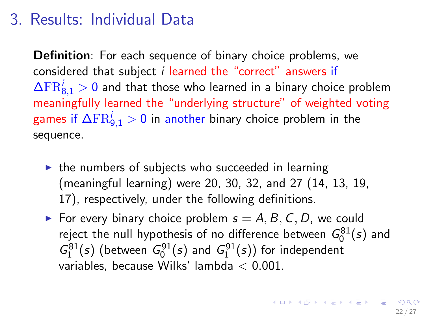#### <span id="page-21-0"></span>3. Results: Individual Data

Definition: For each sequence of binary choice problems, we considered that subject i learned the "correct" answers if  $\Delta \mathrm{FR}^i_{8,1} > 0$  and that those who learned in a binary choice problem meaningfully learned the "underlying structure" of weighted voting games if  $\Delta \mathrm{FR}^i_{9,1}>0$  in another binary choice problem in the sequence.

- $\triangleright$  the numbers of subjects who succeeded in learning (meaningful learning) were 20, 30, 32, and 27 (14, 13, 19, 17), respectively, under the following definitions.
- For every binary choice problem  $s = A, B, C, D$ , we could reject the null hypothesis of no difference between  $G_0^{81}(s)$  and  $G_1^{81}(s)$  (between  $G_0^{91}(s)$  and  $G_1^{91}(s)$ ) for independent variables, because Wilks' lambda < 0.001.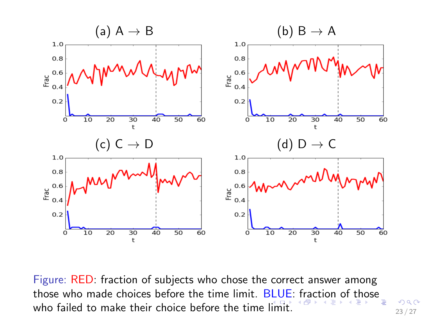<span id="page-22-0"></span>

Figure: RED: fraction of subjects who chose the correct answer among those who made choices before the time limit. BLUE[: f](#page-21-0)[ra](#page-22-0)[ct](#page-23-0)[io](#page-0-0)[n o](#page-27-0)[f t](#page-0-0)[ho](#page-27-0)[se](#page-0-0) who failed to make their choice before the time [lim](#page-21-0)i[t.](#page-23-0)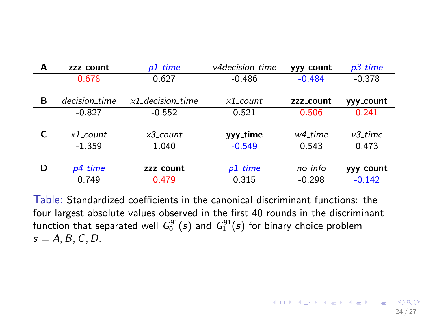<span id="page-23-0"></span>

| A | zzz_count     | $p1$ -time                     | v4decision_time | yyy_count | $p3$ -time |
|---|---------------|--------------------------------|-----------------|-----------|------------|
|   | 0.678         | 0.627                          | $-0.486$        | $-0.484$  | $-0.378$   |
|   |               |                                |                 |           |            |
| в | decision_time | $x1$ <sub>-decision-time</sub> | $x1$ count      | zzz_count | vvv_count  |
|   | $-0.827$      | $-0.552$                       | 0.521           | 0.506     | 0.241      |
|   |               |                                |                 |           |            |
|   | $x1$ count    | $x3$ count                     | yyy_time        | w4 time   | $v3$ time  |
|   | $-1.359$      | 1.040                          | $-0.549$        | 0.543     | 0.473      |
|   |               |                                |                 |           |            |
| D | p4_time       | zzz_count                      | $p1$ _time      | no_info   | yyy_count  |
|   | 0.749         | 0.479                          | 0.315           | $-0.298$  | $-0.142$   |

Table: Standardized coefficients in the canonical discriminant functions: the four largest absolute values observed in the first 40 rounds in the discriminant function that separated well  $\mathit{G}_{0}^{91}(s)$  and  $\mathit{G}_{1}^{91}(s)$  for binary choice problem  $s = A, B, C, D$ .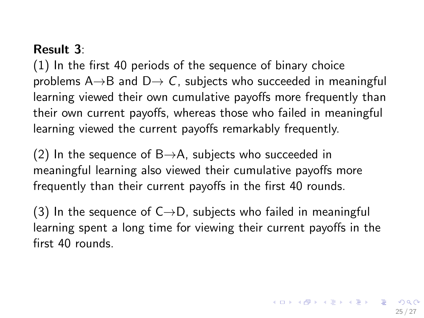#### Result 3:

(1) In the first 40 periods of the sequence of binary choice problems A $\rightarrow$ B and D $\rightarrow$  C, subjects who succeeded in meaningful learning viewed their own cumulative payoffs more frequently than their own current payoffs, whereas those who failed in meaningful learning viewed the current payoffs remarkably frequently.

(2) In the sequence of  $B\rightarrow A$ , subjects who succeeded in meaningful learning also viewed their cumulative payoffs more frequently than their current payoffs in the first 40 rounds.

(3) In the sequence of  $C\rightarrow D$ , subjects who failed in meaningful learning spent a long time for viewing their current payoffs in the first 40 rounds.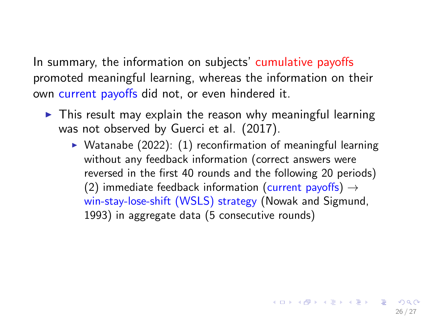In summary, the information on subjects' cumulative payoffs promoted meaningful learning, whereas the information on their own current payoffs did not, or even hindered it.

- $\triangleright$  This result may explain the reason why meaningful learning was not observed by Guerci et al. (2017).
	- $\triangleright$  Watanabe (2022): (1) reconfirmation of meaningful learning without any feedback information (correct answers were reversed in the first 40 rounds and the following 20 periods) (2) immediate feedback information (current payoffs)  $\rightarrow$ win-stay-lose-shift (WSLS) strategy (Nowak and Sigmund, 1993) in aggregate data (5 consecutive rounds)

26 / 27

K ロ ▶ K @ ▶ K 할 > K 할 > → 할 → 9 Q Q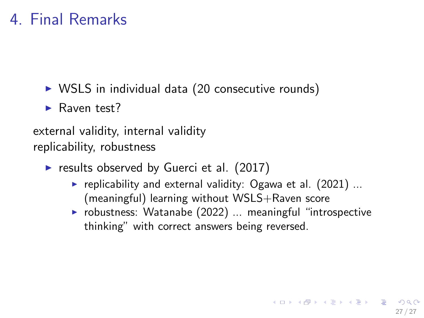## 4. Final Remarks

- $\triangleright$  WSLS in individual data (20 consecutive rounds)
- $\blacktriangleright$  Raven test?

external validity, internal validity replicability, robustness

- results observed by Guerci et al.  $(2017)$ 
	- replicability and external validity: Ogawa et al.  $(2021)$  ... (meaningful) learning without WSLS+Raven score
	- $\triangleright$  robustness: Watanabe (2022) ... meaningful "introspective thinking" with correct answers being reversed.